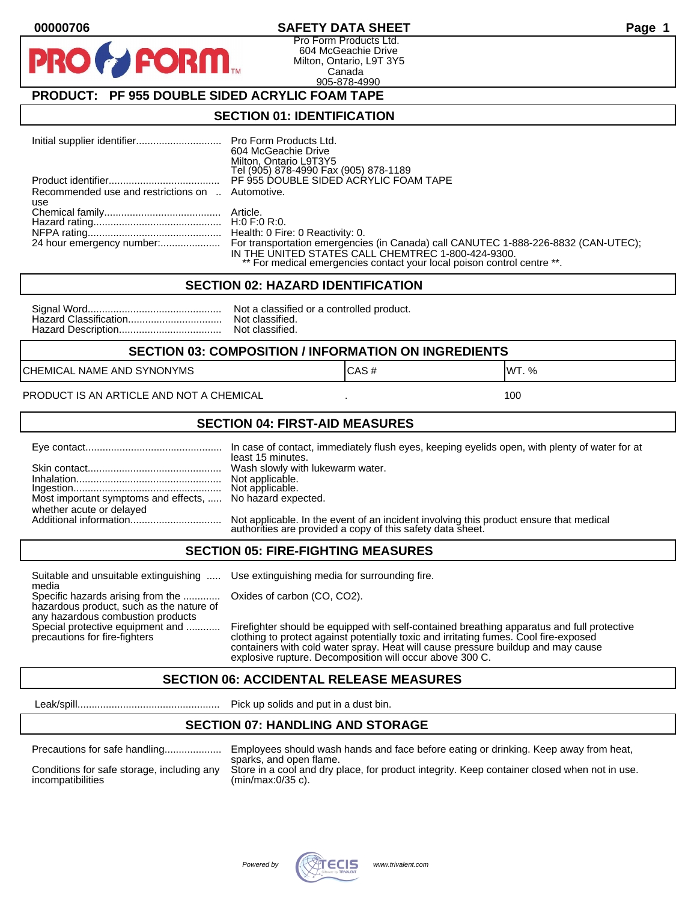#### **00000706 SAFETY DATA SHEET Page 1**

Pro Form Products Ltd. 604 McGeachie Drive Milton, Ontario, L9T 3Y5 Canada 905-878-4990

## **PRODUCT: PF 955 DOUBLE SIDED ACRYLIC FOAM TAPE**

FORM.

#### **SECTION 01: IDENTIFICATION**

|                                                         | 604 McGeachie Drive<br>Milton, Ontario L9T3Y5<br>Tel (905) 878-4990 Fax (905) 878-1189                                                                                                                                                        |
|---------------------------------------------------------|-----------------------------------------------------------------------------------------------------------------------------------------------------------------------------------------------------------------------------------------------|
|                                                         | PF 955 DOUBLE SIDED ACRYLIC FOAM TAPE                                                                                                                                                                                                         |
| Recommended use and restrictions on  Automotive.<br>use |                                                                                                                                                                                                                                               |
|                                                         |                                                                                                                                                                                                                                               |
|                                                         |                                                                                                                                                                                                                                               |
|                                                         | 24 hour emergency number: For transportation emergencies (in Canada) call CANUTEC 1-888-226-8832 (CAN-UTEC);<br>IN THE UNITED STATES CALL CHEMTREC 1-800-424-9300.<br>** For medical emergencies contact your local poison control centre **. |

#### **SECTION 02: HAZARD IDENTIFICATION**

| Nc |
|----|
| No |
| No |

ot a classified or a controlled product. ot classified. ot classified.

#### **SECTION 03: COMPOSITION / INFORMATION ON INGREDIENTS**

CHEMICAL NAME AND SYNONYMS GAS AND CAS # CAS # WT. %

PRODUCT IS AN ARTICLE AND NOT A CHEMICAL **AND THE SET AND A SET ALL ASSAULT** 100

#### **SECTION 04: FIRST-AID MEASURES**

|                                                                                       | In case of contact, immediately flush eyes, keeping eyelids open, with plenty of water for at<br>least 15 minutes.                                   |
|---------------------------------------------------------------------------------------|------------------------------------------------------------------------------------------------------------------------------------------------------|
|                                                                                       |                                                                                                                                                      |
| Most important symptoms and effects,  No hazard expected.<br>whether acute or delayed |                                                                                                                                                      |
|                                                                                       | Not applicable. In the event of an incident involving this product ensure that medical<br>authorities are provided a copy of this safety data sheet. |

#### **SECTION 05: FIRE-FIGHTING MEASURES**

Suitable and unsuitable extinguishing ..... Use extinguishing media for surrounding fire. media

Specific hazards arising from the ............. Oxides of carbon (CO, CO2). hazardous product, such as the nature of any hazardous combustion products

Special protective equipment and ............ Firefighter should be equipped with self-contained breathing apparatus and full protective<br>precautions for fire-fighters continent clothing to protect against potentially toxic clothing to protect against potentially toxic and irritating fumes. Cool fire-exposed containers with cold water spray. Heat will cause pressure buildup and may cause explosive rupture. Decomposition will occur above 300 C.

## **SECTION 06: ACCIDENTAL RELEASE MEASURES**

Leak/spill.................................................. Pick up solids and put in a dust bin.

#### **SECTION 07: HANDLING AND STORAGE**

| Precautions for safe handling |
|-------------------------------|
|                               |

Precautions for safe handling.................... Employees should wash hands and face before eating or drinking. Keep away from heat, sparks, and open flame. Conditions for safe storage, including any Store in a cool and dry place, for product integrity. Keep container closed when not in use.<br>incompatibilities (min/max:0/35 c).  $(min/max:0/35 c)$ .

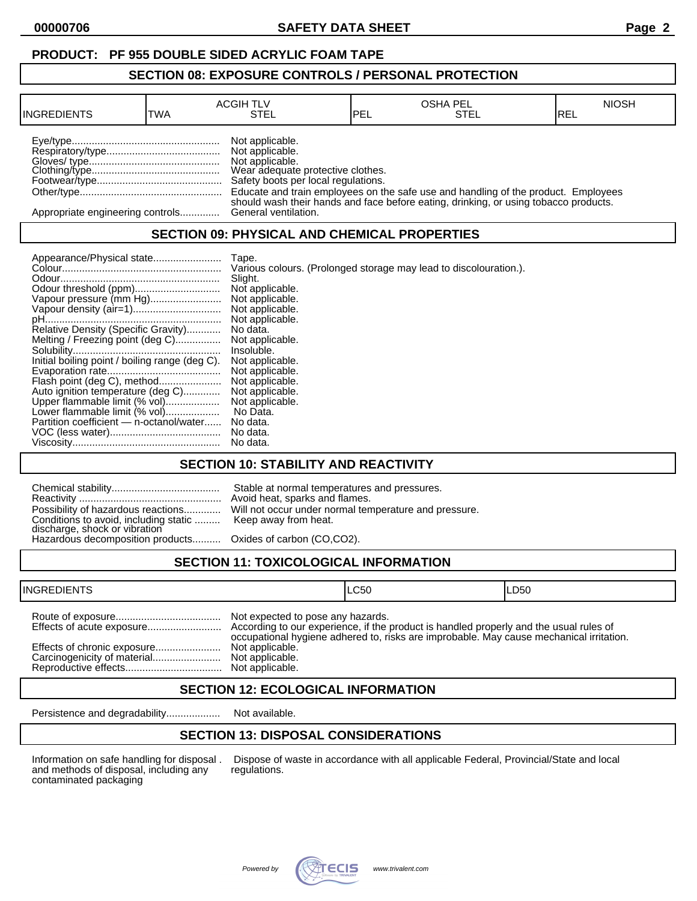## **PRODUCT: PF 955 DOUBLE SIDED ACRYLIC FOAM TAPE**

#### **SECTION 08: EXPOSURE CONTROLS / PERSONAL PROTECTION**

| <b>INGREDIENTS</b>               | TWA | <b>ACGIH TLV</b><br>STEL                                                                                                          | <b>IPEL</b> | <b>OSHA PEL</b><br>STEL                                                              | <b>NIOSH</b><br>IREL |
|----------------------------------|-----|-----------------------------------------------------------------------------------------------------------------------------------|-------------|--------------------------------------------------------------------------------------|----------------------|
|                                  |     | Not applicable.<br>Not applicable.<br>Not applicable.<br>Wear adequate protective clothes.<br>Safety boots per local regulations. |             | Educate and train employees on the safe use and handling of the product. Employees   |                      |
| Appropriate engineering controls |     | General ventilation.                                                                                                              |             | should wash their hands and face before eating, drinking, or using tobacco products. |                      |

## **SECTION 09: PHYSICAL AND CHEMICAL PROPERTIES**

| Appearance/Physical state                      | Tape.                                                             |
|------------------------------------------------|-------------------------------------------------------------------|
|                                                | Various colours. (Prolonged storage may lead to discolouration.). |
|                                                | Slight.                                                           |
|                                                | Not applicable.                                                   |
| Vapour pressure (mm Hg)                        | Not applicable.                                                   |
|                                                | Not applicable.                                                   |
|                                                | Not applicable.                                                   |
| Relative Density (Specific Gravity)            | No data.                                                          |
| Melting / Freezing point (deg C)               | Not applicable.                                                   |
|                                                | Insoluble.                                                        |
| Initial boiling point / boiling range (deg C). | Not applicable.                                                   |
|                                                | Not applicable.                                                   |
| Flash point (deg C), method                    | Not applicable.                                                   |
| Auto ignition temperature (deg C)              | Not applicable.                                                   |
| Upper flammable limit (% vol)                  | Not applicable.                                                   |
| Lower flammable limit (% vol)                  | No Data.                                                          |
| Partition coefficient - n-octanol/water        | No data.                                                          |
|                                                | No data.                                                          |
|                                                | No data.                                                          |

### **SECTION 10: STABILITY AND REACTIVITY**

| Possibility of hazardous reactions<br>Conditions to avoid, including static  Keep away from heat.<br>discharge, shock or vibration<br>Hazardous decomposition products Oxides of carbon (CO,CO2). | Stable at normal temperatures and pressures.<br>Avoid heat, sparks and flames.<br>Will not occur under normal temperature and pressure. |
|---------------------------------------------------------------------------------------------------------------------------------------------------------------------------------------------------|-----------------------------------------------------------------------------------------------------------------------------------------|
|                                                                                                                                                                                                   |                                                                                                                                         |

# **SECTION 11: TOXICOLOGICAL INFORMATION**

| <b>INGREDIENTS</b> |                                                      | ILC50                                                                                   | ILD50 |
|--------------------|------------------------------------------------------|-----------------------------------------------------------------------------------------|-------|
|                    | Not expected to pose any hazards.<br>Not applicable. | occupational hygiene adhered to, risks are improbable. May cause mechanical irritation. |       |

### **SECTION 12: ECOLOGICAL INFORMATION**

Persistence and degradability................... Not available.

## **SECTION 13: DISPOSAL CONSIDERATIONS**

and methods of disposal, including any contaminated packaging

Information on safe handling for disposal . Dispose of waste in accordance with all applicable Federal, Provincial/State and local